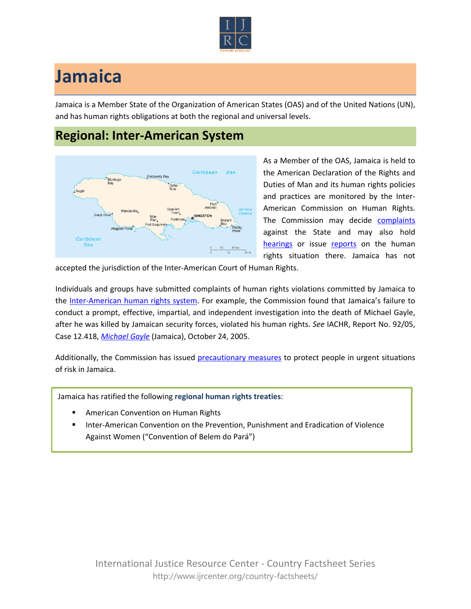

## **Jamaica**

Jamaica is a Member State of the Organization of American States (OAS) and of the United Nations (UN), and has human rights obligations at both the regional and universal levels.

## **Regional: Inter-American System**



As a Member of the OAS, Jamaica is held to the American Declaration of the Rights and Duties of Man and its human rights policies and practices are monitored by the Inter-American Commission on Human Rights. The Commission may decide [complaints](http://www.oas.org/en/iachr/decisions/merits.asp) against the State and may also hold [hearings](http://www.oas.org/es/cidh/audiencias/advanced.aspx?lang=en) or issue [reports](http://www.oas.org/en/iachr/reports/country.asp) on the human rights situation there. Jamaica has not

accepted the jurisdiction of the Inter-American Court of Human Rights.

Individuals and groups have submitted complaints of human rights violations committed by Jamaica to the [Inter-American human rights system](http://www.ijrcenter.org/regional/inter-american-system/). For example, the Commission found that Jamaica's failure to conduct a prompt, effective, impartial, and independent investigation into the death of Michael Gayle, after he was killed by Jamaican security forces, violated his human rights. *See* IACHR, Report No. 92/05, Case 12.418, *[Michael Gayle](http://www.cidh.oas.org/annualrep/2005eng/Jamaica.12418eng.htm)* (Jamaica), October 24, 2005.

Additionally, the Commission has issued [precautionary measures](http://www.oas.org/en/iachr/decisions/precautionary.asp) to protect people in urgent situations of risk in Jamaica.

Jamaica has ratified the following **regional human rights treaties**:

- American Convention on Human Rights
- Inter-American Convention on the Prevention, Punishment and Eradication of Violence Against Women ("Convention of Belem do Pará")